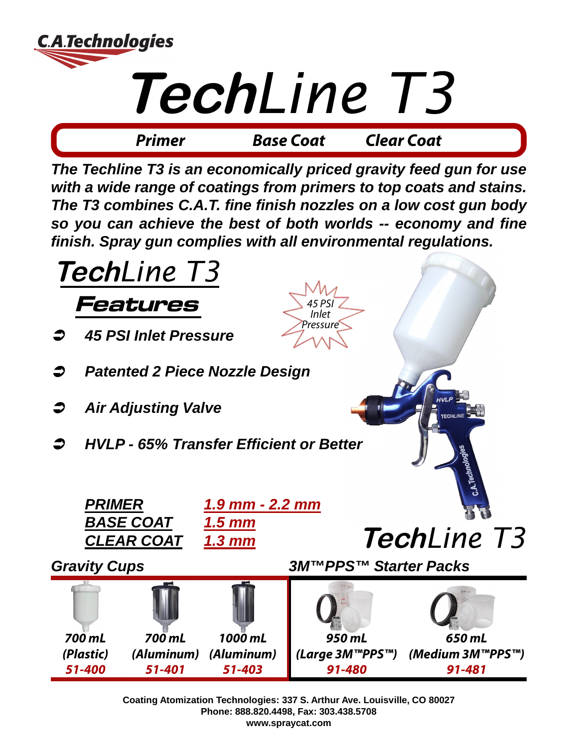

*The Techline T3 is an economically priced gravity feed gun for use with a wide range of coatings from primers to top coats and stains. The T3 combines C.A.T. fine finish nozzles on a low cost gun body so you can achieve the best of both worlds -- economy and fine finish. Spray gun complies with all environmental regulations.*



**Coating Atomization Technologies: 337 S. Arthur Ave. Louisville, CO 80027 Phone: 888.820.4498, Fax: 303.438.5708 www.spraycat.com**